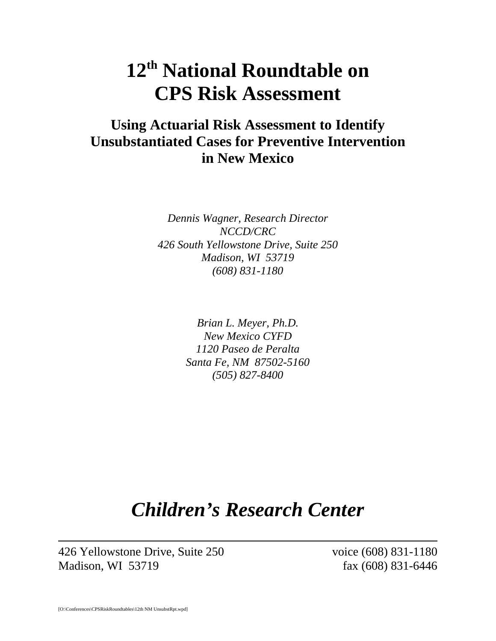# **12th National Roundtable on CPS Risk Assessment**

### **Using Actuarial Risk Assessment to Identify Unsubstantiated Cases for Preventive Intervention in New Mexico**

*Dennis Wagner, Research Director NCCD/CRC 426 South Yellowstone Drive, Suite 250 Madison, WI 53719 (608) 831-1180*

> *Brian L. Meyer, Ph.D. New Mexico CYFD 1120 Paseo de Peralta Santa Fe, NM 87502-5160 (505) 827-8400*

## *Children's Research Center*

426 Yellowstone Drive, Suite 250 voice (608) 831-1180 Madison, WI 53719 fax (608) 831-6446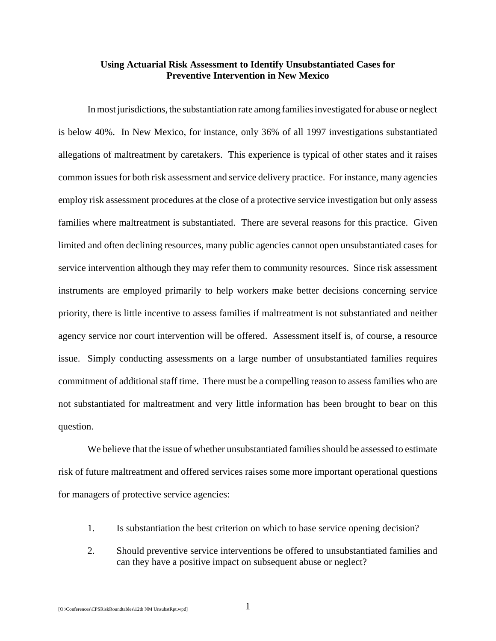#### **Using Actuarial Risk Assessment to Identify Unsubstantiated Cases for Preventive Intervention in New Mexico**

In most jurisdictions, the substantiation rate among families investigated for abuse or neglect is below 40%. In New Mexico, for instance, only 36% of all 1997 investigations substantiated allegations of maltreatment by caretakers. This experience is typical of other states and it raises common issues for both risk assessment and service delivery practice. For instance, many agencies employ risk assessment procedures at the close of a protective service investigation but only assess families where maltreatment is substantiated. There are several reasons for this practice. Given limited and often declining resources, many public agencies cannot open unsubstantiated cases for service intervention although they may refer them to community resources. Since risk assessment instruments are employed primarily to help workers make better decisions concerning service priority, there is little incentive to assess families if maltreatment is not substantiated and neither agency service nor court intervention will be offered. Assessment itself is, of course, a resource issue. Simply conducting assessments on a large number of unsubstantiated families requires commitment of additional staff time. There must be a compelling reason to assess families who are not substantiated for maltreatment and very little information has been brought to bear on this question.

We believe that the issue of whether unsubstantiated families should be assessed to estimate risk of future maltreatment and offered services raises some more important operational questions for managers of protective service agencies:

- 1. Is substantiation the best criterion on which to base service opening decision?
- 2. Should preventive service interventions be offered to unsubstantiated families and can they have a positive impact on subsequent abuse or neglect?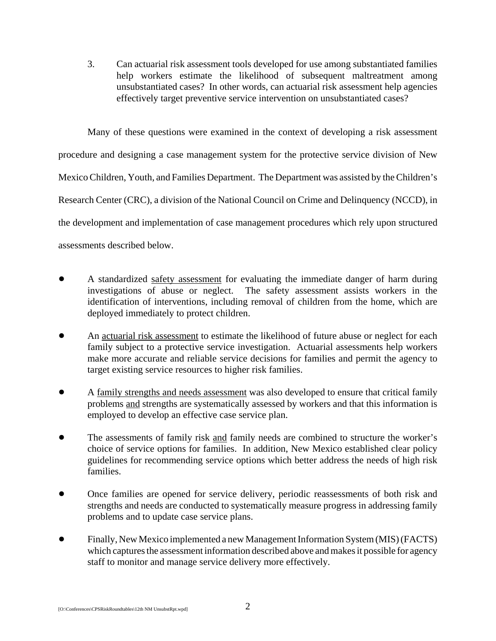3. Can actuarial risk assessment tools developed for use among substantiated families help workers estimate the likelihood of subsequent maltreatment among unsubstantiated cases? In other words, can actuarial risk assessment help agencies effectively target preventive service intervention on unsubstantiated cases?

Many of these questions were examined in the context of developing a risk assessment procedure and designing a case management system for the protective service division of New Mexico Children, Youth, and Families Department. The Department was assisted by the Children's Research Center (CRC), a division of the National Council on Crime and Delinquency (NCCD), in the development and implementation of case management procedures which rely upon structured assessments described below.

- A standardized safety assessment for evaluating the immediate danger of harm during investigations of abuse or neglect. The safety assessment assists workers in the identification of interventions, including removal of children from the home, which are deployed immediately to protect children.
- An actuarial risk assessment to estimate the likelihood of future abuse or neglect for each family subject to a protective service investigation. Actuarial assessments help workers make more accurate and reliable service decisions for families and permit the agency to target existing service resources to higher risk families.
- ! A family strengths and needs assessment was also developed to ensure that critical family problems and strengths are systematically assessed by workers and that this information is employed to develop an effective case service plan.
- The assessments of family risk and family needs are combined to structure the worker's choice of service options for families. In addition, New Mexico established clear policy guidelines for recommending service options which better address the needs of high risk families.
- Once families are opened for service delivery, periodic reassessments of both risk and strengths and needs are conducted to systematically measure progress in addressing family problems and to update case service plans.
- ! Finally, New Mexico implemented a new Management Information System (MIS) (FACTS) which captures the assessment information described above and makes it possible for agency staff to monitor and manage service delivery more effectively.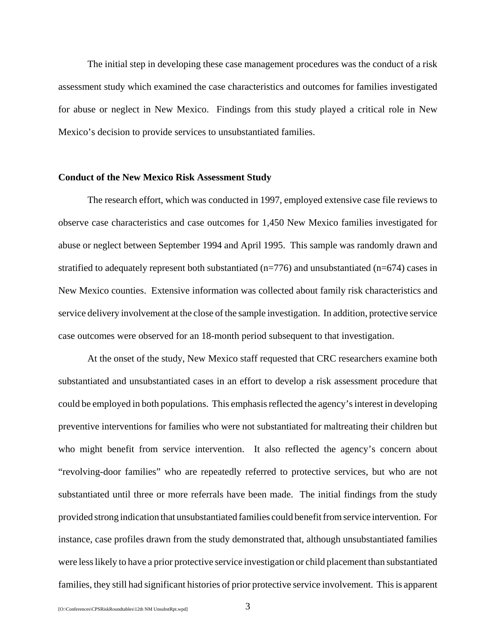The initial step in developing these case management procedures was the conduct of a risk assessment study which examined the case characteristics and outcomes for families investigated for abuse or neglect in New Mexico. Findings from this study played a critical role in New Mexico's decision to provide services to unsubstantiated families.

#### **Conduct of the New Mexico Risk Assessment Study**

The research effort, which was conducted in 1997, employed extensive case file reviews to observe case characteristics and case outcomes for 1,450 New Mexico families investigated for abuse or neglect between September 1994 and April 1995. This sample was randomly drawn and stratified to adequately represent both substantiated  $(n=776)$  and unsubstantiated  $(n=674)$  cases in New Mexico counties. Extensive information was collected about family risk characteristics and service delivery involvement at the close of the sample investigation. In addition, protective service case outcomes were observed for an 18-month period subsequent to that investigation.

At the onset of the study, New Mexico staff requested that CRC researchers examine both substantiated and unsubstantiated cases in an effort to develop a risk assessment procedure that could be employed in both populations. This emphasis reflected the agency's interest in developing preventive interventions for families who were not substantiated for maltreating their children but who might benefit from service intervention. It also reflected the agency's concern about "revolving-door families" who are repeatedly referred to protective services, but who are not substantiated until three or more referrals have been made. The initial findings from the study provided strong indication that unsubstantiated families could benefit from service intervention. For instance, case profiles drawn from the study demonstrated that, although unsubstantiated families were less likely to have a prior protective service investigation or child placement than substantiated families, they still had significant histories of prior protective service involvement. This is apparent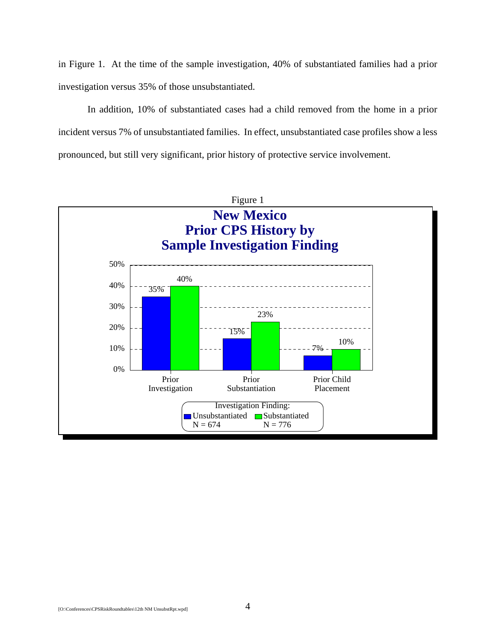in Figure 1. At the time of the sample investigation, 40% of substantiated families had a prior investigation versus 35% of those unsubstantiated.

In addition, 10% of substantiated cases had a child removed from the home in a prior incident versus 7% of unsubstantiated families. In effect, unsubstantiated case profiles show a less pronounced, but still very significant, prior history of protective service involvement.

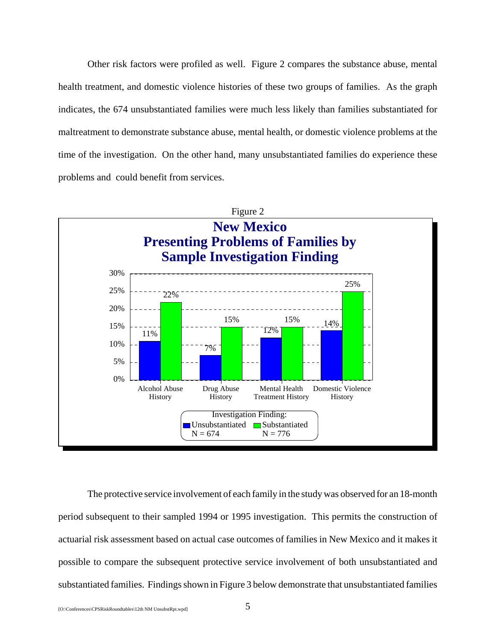Other risk factors were profiled as well. Figure 2 compares the substance abuse, mental health treatment, and domestic violence histories of these two groups of families. As the graph indicates, the 674 unsubstantiated families were much less likely than families substantiated for maltreatment to demonstrate substance abuse, mental health, or domestic violence problems at the time of the investigation. On the other hand, many unsubstantiated families do experience these problems and could benefit from services.



The protective service involvement of each family in the study was observed for an 18-month period subsequent to their sampled 1994 or 1995 investigation. This permits the construction of actuarial risk assessment based on actual case outcomes of families in New Mexico and it makes it possible to compare the subsequent protective service involvement of both unsubstantiated and substantiated families. Findings shown in Figure 3 below demonstrate that unsubstantiated families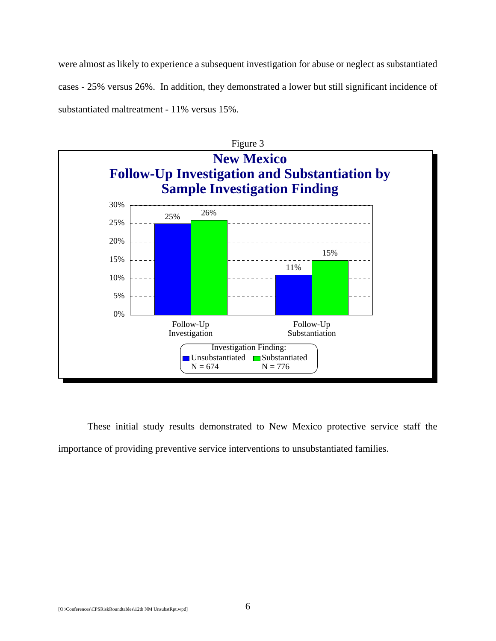were almost as likely to experience a subsequent investigation for abuse or neglect as substantiated cases - 25% versus 26%. In addition, they demonstrated a lower but still significant incidence of substantiated maltreatment - 11% versus 15%.



These initial study results demonstrated to New Mexico protective service staff the importance of providing preventive service interventions to unsubstantiated families.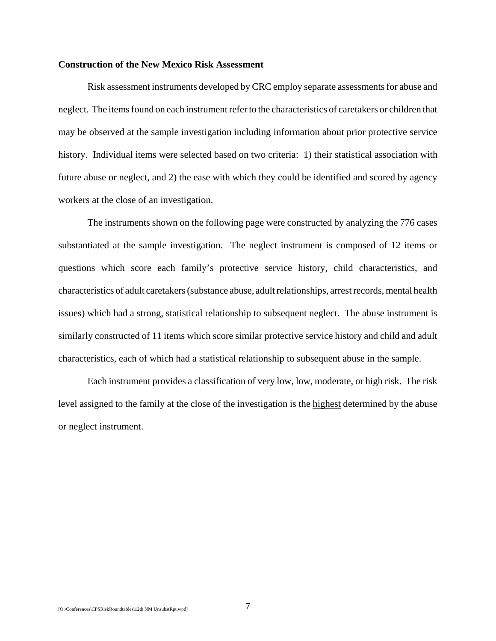#### **Construction of the New Mexico Risk Assessment**

Risk assessment instruments developed by CRC employ separate assessments for abuse and neglect. The items found on each instrument refer to the characteristics of caretakers or children that may be observed at the sample investigation including information about prior protective service history. Individual items were selected based on two criteria: 1) their statistical association with future abuse or neglect, and 2) the ease with which they could be identified and scored by agency workers at the close of an investigation.

The instruments shown on the following page were constructed by analyzing the 776 cases substantiated at the sample investigation. The neglect instrument is composed of 12 items or questions which score each family's protective service history, child characteristics, and characteristics of adult caretakers (substance abuse, adult relationships, arrest records, mental health issues) which had a strong, statistical relationship to subsequent neglect. The abuse instrument is similarly constructed of 11 items which score similar protective service history and child and adult characteristics, each of which had a statistical relationship to subsequent abuse in the sample.

Each instrument provides a classification of very low, low, moderate, or high risk. The risk level assigned to the family at the close of the investigation is the highest determined by the abuse or neglect instrument.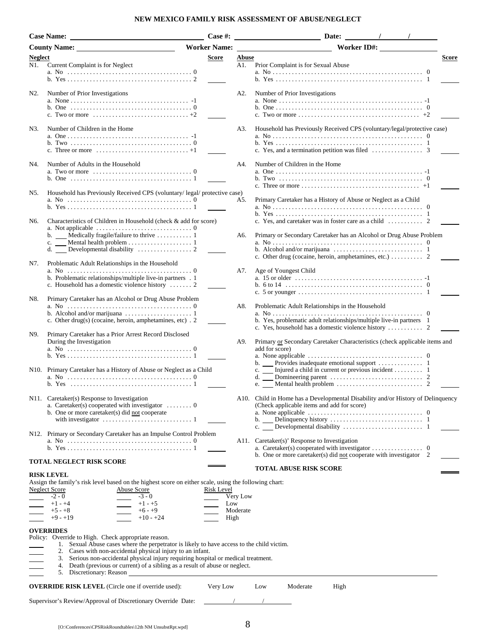#### **NEW MEXICO FAMILY RISK ASSESSMENT OF ABUSE/NEGLECT**

|         | <b>Case Name:</b>                                                                                                                                                                           | Case #:             |          | Date:<br>$\sqrt{2}$                                                                                                                                                |       |
|---------|---------------------------------------------------------------------------------------------------------------------------------------------------------------------------------------------|---------------------|----------|--------------------------------------------------------------------------------------------------------------------------------------------------------------------|-------|
|         | <b>County Name:</b>                                                                                                                                                                         | <b>Worker Name:</b> |          | Worker ID#:                                                                                                                                                        |       |
| Neglect |                                                                                                                                                                                             | Score               | Abuse    |                                                                                                                                                                    | Score |
| N1.     | Current Complaint is for Neglect                                                                                                                                                            |                     | A1.      | Prior Complaint is for Sexual Abuse                                                                                                                                |       |
|         |                                                                                                                                                                                             |                     |          |                                                                                                                                                                    |       |
| N2.     | Number of Prior Investigations                                                                                                                                                              |                     | A2.      | Number of Prior Investigations                                                                                                                                     |       |
|         | b. One $\ldots \ldots \ldots \ldots \ldots \ldots \ldots \ldots \ldots \ldots \ldots \ldots \ldots 0$<br>c. Two or more $\ldots \ldots \ldots \ldots \ldots \ldots \ldots \ldots \ldots +2$ |                     |          |                                                                                                                                                                    |       |
| N3.     | Number of Children in the Home                                                                                                                                                              |                     | A3.      | Household has Previously Received CPS (voluntary/legal/protective case)                                                                                            |       |
|         |                                                                                                                                                                                             |                     |          |                                                                                                                                                                    |       |
| N4.     | Number of Adults in the Household<br>a. Two or more $\ldots \ldots \ldots \ldots \ldots \ldots \ldots \ldots \ldots \ldots \ldots \ldots$                                                   |                     | A4.      | Number of Children in the Home                                                                                                                                     |       |
|         |                                                                                                                                                                                             |                     |          |                                                                                                                                                                    |       |
| N5.     | Household has Previously Received CPS (voluntary/ legal/ protective case)                                                                                                                   |                     | A5.      | Primary Caretaker has a History of Abuse or Neglect as a Child                                                                                                     |       |
|         |                                                                                                                                                                                             |                     |          |                                                                                                                                                                    |       |
| N6.     | Characteristics of Children in Household (check & add for score)<br>a. Not applicable $\ldots \ldots \ldots \ldots \ldots \ldots \ldots \ldots \ldots \ldots \ldots$                        |                     |          | c. Yes, and caretaker was in foster care as a child $\dots \dots \dots$ 2                                                                                          |       |
|         |                                                                                                                                                                                             |                     | A6.      | Primary or Secondary Caretaker has an Alcohol or Drug Abuse Problem                                                                                                |       |
|         |                                                                                                                                                                                             |                     |          | b. Alcohol and/or marijuana $\ldots \ldots \ldots \ldots \ldots \ldots \ldots \ldots$<br>c. Other drug (cocaine, heroin, amphetamines, etc.) $\dots \dots \dots$ 2 |       |
| N7.     | Problematic Adult Relationships in the Household                                                                                                                                            |                     | A7.      | Age of Youngest Child                                                                                                                                              |       |
|         | b. Problematic relationships/multiple live-in partners . 1<br>c. Household has a domestic violence history  2                                                                               |                     |          |                                                                                                                                                                    |       |
|         |                                                                                                                                                                                             |                     |          |                                                                                                                                                                    |       |
| N8.     | Primary Caretaker has an Alcohol or Drug Abuse Problem                                                                                                                                      |                     | A8.      | Problematic Adult Relationships in the Household                                                                                                                   |       |
|         | c. Other drug(s) (cocaine, heroin, amphetamines, etc) . 2                                                                                                                                   |                     |          | b. Yes, problematic adult relationships/multiple live-in partners 1<br>c. Yes, household has a domestic violence history $\dots \dots \dots$ 2                     |       |
| N9.     | Primary Caretaker has a Prior Arrest Record Disclosed                                                                                                                                       |                     |          |                                                                                                                                                                    |       |
|         | During the Investigation                                                                                                                                                                    |                     | A9.      | Primary or Secondary Caretaker Characteristics (check applicable items and<br>add for score)                                                                       |       |
|         |                                                                                                                                                                                             |                     |          |                                                                                                                                                                    |       |
|         | N10. Primary Caretaker has a History of Abuse or Neglect as a Child                                                                                                                         |                     |          | c.<br>d.<br>e.                                                                                                                                                     |       |
|         | N11. Caretaker(s) Response to Investigation                                                                                                                                                 |                     |          |                                                                                                                                                                    |       |
|         | a. Caretaker(s) cooperated with investigator $\dots \dots \dots 0$<br>b. One or more caretaker(s) did not cooperate                                                                         |                     |          | A10. Child in Home has a Developmental Disability and/or History of Delinquency<br>(Check applicable items and add for score)                                      |       |
|         |                                                                                                                                                                                             |                     |          |                                                                                                                                                                    |       |
|         | N12. Primary or Secondary Caretaker has an Impulse Control Problem                                                                                                                          |                     |          |                                                                                                                                                                    |       |
|         |                                                                                                                                                                                             |                     |          | A11. Caretaker(s)' Response to Investigation<br>b. One or more caretaker(s) did not cooperate with investigator $2$                                                |       |
|         | TOTAL NEGLECT RISK SCORE                                                                                                                                                                    |                     |          |                                                                                                                                                                    |       |
|         | <b>RISK LEVEL</b>                                                                                                                                                                           |                     |          | <b>TOTAL ABUSE RISK SCORE</b>                                                                                                                                      |       |
|         | Assign the family's risk level based on the highest score on either scale, using the following chart:<br>Neglect Score<br>Abuse Score                                                       | Risk Level          |          |                                                                                                                                                                    |       |
|         | $-2 - 0$<br>$-3 - 0$                                                                                                                                                                        |                     | Very Low |                                                                                                                                                                    |       |
|         | $+1 - +4$<br>$+1 - +5$                                                                                                                                                                      | Low                 |          |                                                                                                                                                                    |       |
|         | $+5 - +8$<br>$+6 - +9$                                                                                                                                                                      |                     | Moderate |                                                                                                                                                                    |       |
|         | $+9 - +19$<br>$+10 - +24$                                                                                                                                                                   | High                |          |                                                                                                                                                                    |       |
|         | <b>OVERRIDES</b><br>Policy: Override to High. Check appropriate reason.                                                                                                                     |                     |          |                                                                                                                                                                    |       |
|         | Sexual Abuse cases where the perpetrator is likely to have access to the child victim.<br>Ι.<br>2. Cases with non-accidental physical injury to an infant.                                  |                     |          |                                                                                                                                                                    |       |
|         | Serious non-accidental physical injury requiring hospital or medical treatment.<br>3.                                                                                                       |                     |          |                                                                                                                                                                    |       |
|         | 4. Death (previous or current) of a sibling as a result of abuse or neglect.<br>5. Discretionary: Reason                                                                                    |                     |          |                                                                                                                                                                    |       |
|         |                                                                                                                                                                                             |                     |          | Moderate                                                                                                                                                           |       |
|         | <b>OVERRIDE RISK LEVEL</b> (Circle one if override used):                                                                                                                                   | Very Low            |          | High<br>Low                                                                                                                                                        |       |
|         | Supervisor's Review/Approval of Discretionary Override Date:                                                                                                                                |                     |          |                                                                                                                                                                    |       |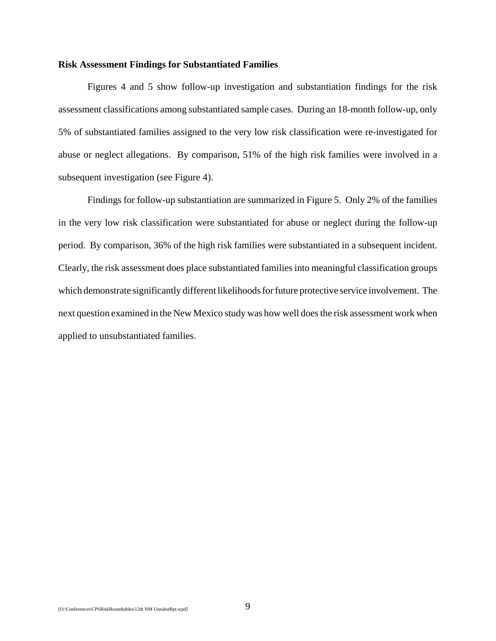#### **Risk Assessment Findings for Substantiated Families**

Figures 4 and 5 show follow-up investigation and substantiation findings for the risk assessment classifications among substantiated sample cases. During an 18-month follow-up, only 5% of substantiated families assigned to the very low risk classification were re-investigated for abuse or neglect allegations. By comparison, 51% of the high risk families were involved in a subsequent investigation (see Figure 4).

Findings for follow-up substantiation are summarized in Figure 5. Only 2% of the families in the very low risk classification were substantiated for abuse or neglect during the follow-up period. By comparison, 36% of the high risk families were substantiated in a subsequent incident. Clearly, the risk assessment does place substantiated families into meaningful classification groups which demonstrate significantly different likelihoods for future protective service involvement. The next question examined in the New Mexico study was how well does the risk assessment work when applied to unsubstantiated families.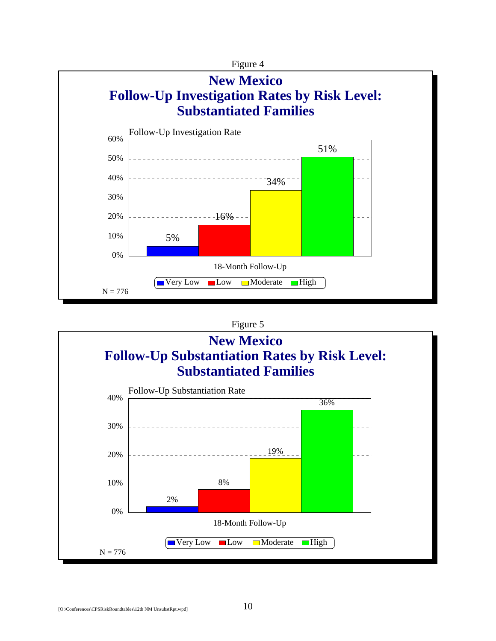

#### Figure 5

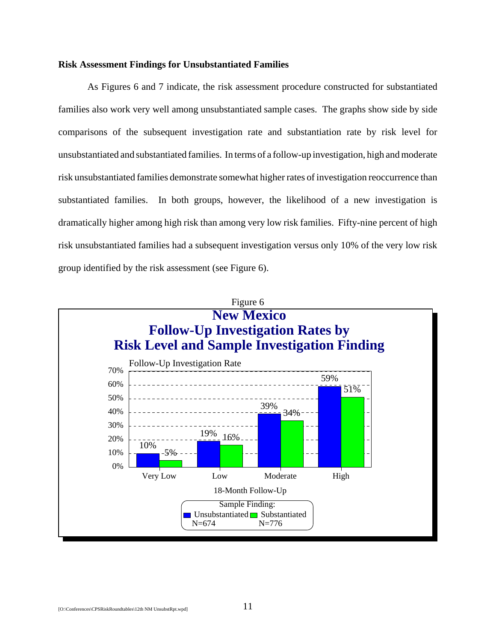#### **Risk Assessment Findings for Unsubstantiated Families**

As Figures 6 and 7 indicate, the risk assessment procedure constructed for substantiated families also work very well among unsubstantiated sample cases. The graphs show side by side comparisons of the subsequent investigation rate and substantiation rate by risk level for unsubstantiated and substantiated families. In terms of a follow-up investigation, high and moderate risk unsubstantiated families demonstrate somewhat higher rates of investigation reoccurrence than substantiated families. In both groups, however, the likelihood of a new investigation is dramatically higher among high risk than among very low risk families. Fifty-nine percent of high risk unsubstantiated families had a subsequent investigation versus only 10% of the very low risk group identified by the risk assessment (see Figure 6).

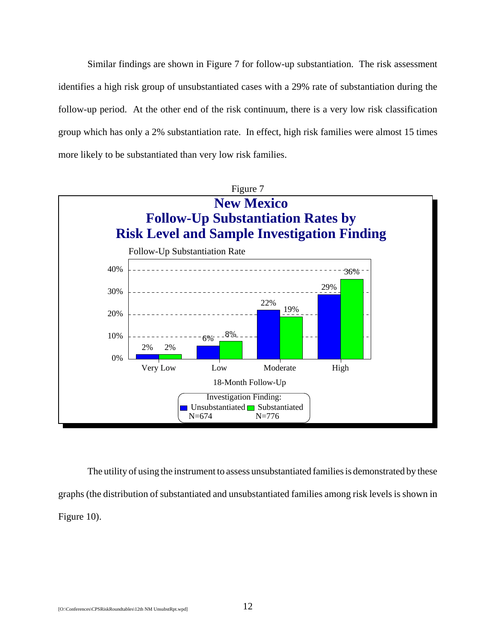Similar findings are shown in Figure 7 for follow-up substantiation. The risk assessment identifies a high risk group of unsubstantiated cases with a 29% rate of substantiation during the follow-up period. At the other end of the risk continuum, there is a very low risk classification group which has only a 2% substantiation rate. In effect, high risk families were almost 15 times more likely to be substantiated than very low risk families.



The utility of using the instrument to assess unsubstantiated families is demonstrated by these graphs (the distribution of substantiated and unsubstantiated families among risk levels is shown in Figure 10).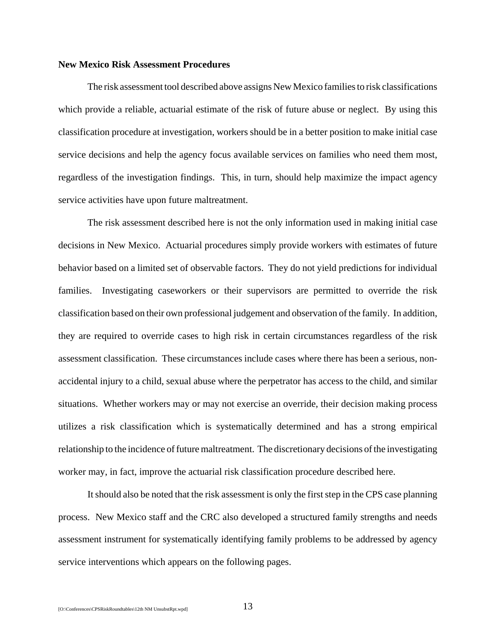#### **New Mexico Risk Assessment Procedures**

The risk assessment tool described above assigns New Mexico families to risk classifications which provide a reliable, actuarial estimate of the risk of future abuse or neglect. By using this classification procedure at investigation, workers should be in a better position to make initial case service decisions and help the agency focus available services on families who need them most, regardless of the investigation findings. This, in turn, should help maximize the impact agency service activities have upon future maltreatment.

The risk assessment described here is not the only information used in making initial case decisions in New Mexico. Actuarial procedures simply provide workers with estimates of future behavior based on a limited set of observable factors. They do not yield predictions for individual families. Investigating caseworkers or their supervisors are permitted to override the risk classification based on their own professional judgement and observation of the family. In addition, they are required to override cases to high risk in certain circumstances regardless of the risk assessment classification. These circumstances include cases where there has been a serious, nonaccidental injury to a child, sexual abuse where the perpetrator has access to the child, and similar situations. Whether workers may or may not exercise an override, their decision making process utilizes a risk classification which is systematically determined and has a strong empirical relationship to the incidence of future maltreatment. The discretionary decisions of the investigating worker may, in fact, improve the actuarial risk classification procedure described here.

It should also be noted that the risk assessment is only the first step in the CPS case planning process. New Mexico staff and the CRC also developed a structured family strengths and needs assessment instrument for systematically identifying family problems to be addressed by agency service interventions which appears on the following pages.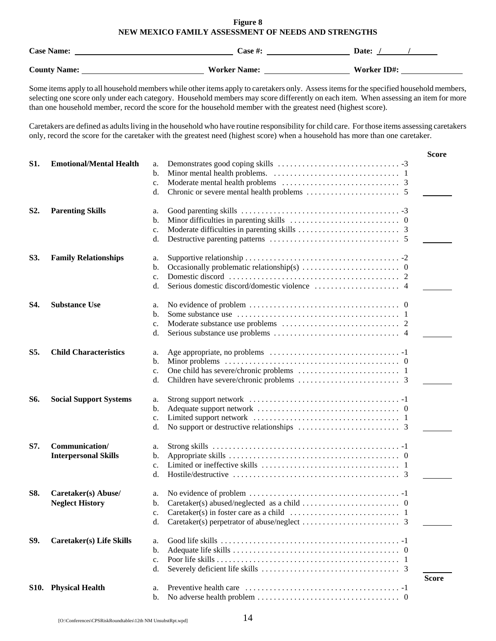#### **Figure 8 NEW MEXICO FAMILY ASSESSMENT OF NEEDS AND STRENGTHS**

| <b>Case Name:</b>   | <b>Case #:</b>      | Date:       |
|---------------------|---------------------|-------------|
| <b>County Name:</b> | <b>Worker Name:</b> | Worker ID#: |

Some items apply to all household members while other items apply to caretakers only. Assess items for the specified household members, selecting one score only under each category. Household members may score differently on each item. When assessing an item for more than one household member, record the score for the household member with the greatest need (highest score).

Caretakers are defined as adults living in the household who have routine responsibility for child care. For those items assessing caretakers only, record the score for the caretaker with the greatest need (highest score) when a household has more than one caretaker.

|                  |                                 |                |                                                                                                | <b>Score</b> |
|------------------|---------------------------------|----------------|------------------------------------------------------------------------------------------------|--------------|
| <b>S1.</b>       | <b>Emotional/Mental Health</b>  | a.             |                                                                                                |              |
|                  |                                 | b.             |                                                                                                |              |
|                  |                                 | c.             |                                                                                                |              |
|                  |                                 | d.             |                                                                                                |              |
|                  |                                 |                |                                                                                                |              |
| S <sub>2</sub> . | <b>Parenting Skills</b>         | a.             |                                                                                                |              |
|                  |                                 | b.             |                                                                                                |              |
|                  |                                 | c.             |                                                                                                |              |
|                  |                                 | d.             |                                                                                                |              |
| S3.              | <b>Family Relationships</b>     | a.             |                                                                                                |              |
|                  |                                 | b.             |                                                                                                |              |
|                  |                                 | c.             |                                                                                                |              |
|                  |                                 | d.             |                                                                                                |              |
|                  |                                 |                |                                                                                                |              |
| S4.              | <b>Substance Use</b>            | a.             |                                                                                                |              |
|                  |                                 | b.             |                                                                                                |              |
|                  |                                 | c.             |                                                                                                |              |
|                  |                                 | d.             |                                                                                                |              |
| S5.              | <b>Child Characteristics</b>    | a.             |                                                                                                |              |
|                  |                                 | $\mathbf{b}$ . |                                                                                                |              |
|                  |                                 | c.             |                                                                                                |              |
|                  |                                 | d.             |                                                                                                |              |
| <b>S6.</b>       | <b>Social Support Systems</b>   |                |                                                                                                |              |
|                  |                                 | a.<br>b.       |                                                                                                |              |
|                  |                                 |                |                                                                                                |              |
|                  |                                 | c.             |                                                                                                |              |
|                  |                                 | d.             |                                                                                                |              |
| S7.              | Communication/                  | a.             |                                                                                                |              |
|                  | <b>Interpersonal Skills</b>     | b.             |                                                                                                |              |
|                  |                                 | c.             |                                                                                                |              |
|                  |                                 | d.             |                                                                                                |              |
| <b>S8.</b>       | Caretaker(s) Abuse/             | a.             |                                                                                                |              |
|                  | <b>Neglect History</b>          | b.             |                                                                                                |              |
|                  |                                 |                | Caretaker(s) in foster care as a child $\dots \dots \dots \dots \dots \dots \dots \dots \dots$ |              |
|                  |                                 |                |                                                                                                |              |
|                  |                                 | d.             |                                                                                                |              |
| S9.              | <b>Caretaker(s)</b> Life Skills | a.             |                                                                                                |              |
|                  |                                 | b.             |                                                                                                |              |
|                  |                                 | c.             |                                                                                                |              |
|                  |                                 | d.             |                                                                                                |              |
|                  |                                 |                |                                                                                                | <b>Score</b> |
|                  | S10. Physical Health            | a.             |                                                                                                |              |
|                  |                                 | b.             |                                                                                                |              |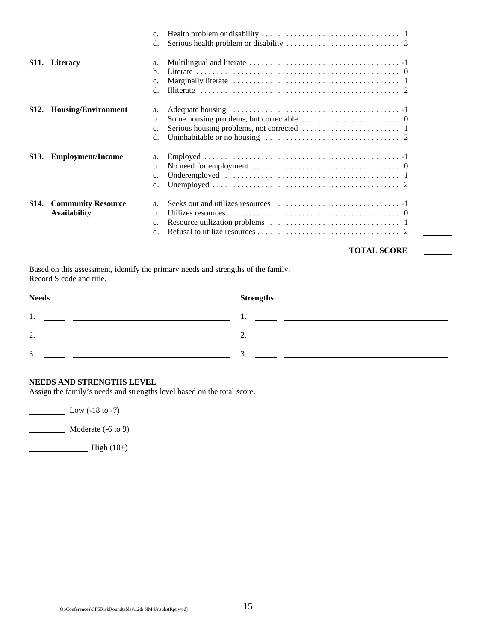| c.                                                                                                                                         |
|--------------------------------------------------------------------------------------------------------------------------------------------|
| d.                                                                                                                                         |
| a.                                                                                                                                         |
| b.                                                                                                                                         |
| c.                                                                                                                                         |
| d.                                                                                                                                         |
| a.                                                                                                                                         |
| b.                                                                                                                                         |
| c.                                                                                                                                         |
| d.                                                                                                                                         |
| a.                                                                                                                                         |
| b.                                                                                                                                         |
| c.                                                                                                                                         |
| d.                                                                                                                                         |
| a.                                                                                                                                         |
| b.                                                                                                                                         |
|                                                                                                                                            |
| c.<br>d.                                                                                                                                   |
|                                                                                                                                            |
| S11. Literacy<br><b>Housing/Environment</b><br><b>Employment/Income</b><br><b>S13.</b><br><b>Community Resource</b><br><b>Availability</b> |

#### **TOTAL SCORE**

Ē,

Based on this assessment, identify the primary needs and strengths of the family. Record S code and title.

| <b>Needs</b>                         | <b>Strengths</b> |
|--------------------------------------|------------------|
| 1.                                   |                  |
| $\gamma$<br>$\overline{\phantom{a}}$ | ,.               |
| 3.                                   | <u>.</u>         |

#### **NEEDS AND STRENGTHS LEVEL**

Assign the family's needs and strengths level based on the total score.

**Low (-18 to -7)** 

Moderate (-6 to 9)

 $High (10+)$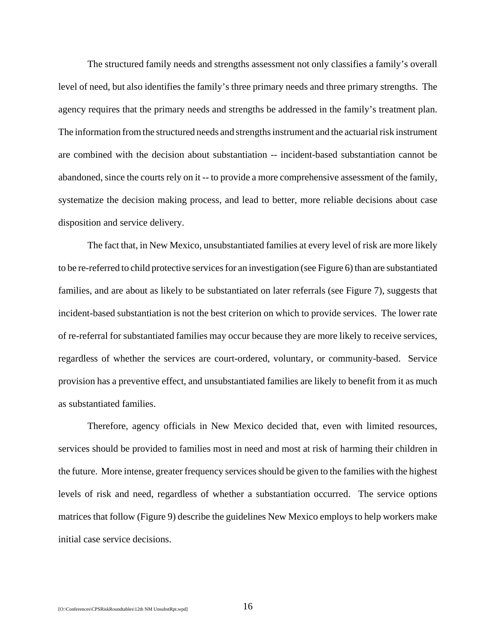The structured family needs and strengths assessment not only classifies a family's overall level of need, but also identifies the family's three primary needs and three primary strengths. The agency requires that the primary needs and strengths be addressed in the family's treatment plan. The information from the structured needs and strengths instrument and the actuarial risk instrument are combined with the decision about substantiation -- incident-based substantiation cannot be abandoned, since the courts rely on it -- to provide a more comprehensive assessment of the family, systematize the decision making process, and lead to better, more reliable decisions about case disposition and service delivery.

The fact that, in New Mexico, unsubstantiated families at every level of risk are more likely to be re-referred to child protective services for an investigation (see Figure 6) than are substantiated families, and are about as likely to be substantiated on later referrals (see Figure 7), suggests that incident-based substantiation is not the best criterion on which to provide services. The lower rate of re-referral for substantiated families may occur because they are more likely to receive services, regardless of whether the services are court-ordered, voluntary, or community-based. Service provision has a preventive effect, and unsubstantiated families are likely to benefit from it as much as substantiated families.

Therefore, agency officials in New Mexico decided that, even with limited resources, services should be provided to families most in need and most at risk of harming their children in the future. More intense, greater frequency services should be given to the families with the highest levels of risk and need, regardless of whether a substantiation occurred. The service options matrices that follow (Figure 9) describe the guidelines New Mexico employs to help workers make initial case service decisions.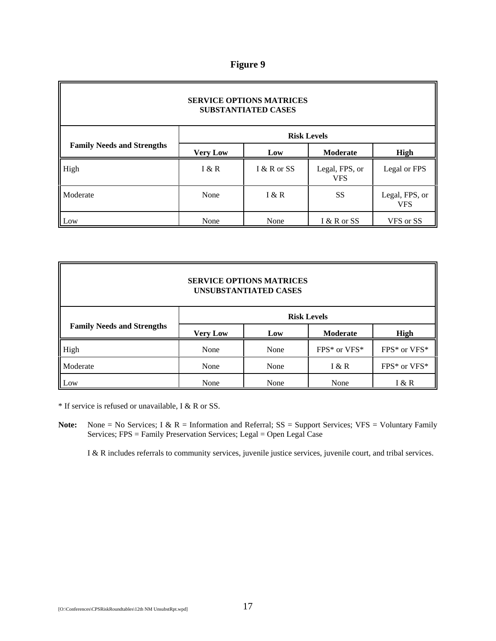#### **Figure 9**

| <b>SERVICE OPTIONS MATRICES</b><br><b>SUBSTANTIATED CASES</b> |                    |             |                              |                              |  |
|---------------------------------------------------------------|--------------------|-------------|------------------------------|------------------------------|--|
|                                                               | <b>Risk Levels</b> |             |                              |                              |  |
| <b>Family Needs and Strengths</b>                             | <b>Very Low</b>    | Low         | <b>Moderate</b>              | High                         |  |
| High                                                          | I & R              | I & R or SS | Legal, FPS, or<br><b>VFS</b> | Legal or FPS                 |  |
| Moderate                                                      | None               | K R         | SS                           | Legal, FPS, or<br><b>VFS</b> |  |
| Low                                                           | None               | None        | I & R or SS                  | VFS or SS                    |  |

#### **SERVICE OPTIONS MATRICES UNSUBSTANTIATED CASES**

|                                   | <b>Risk Levels</b> |      |                  |                  |  |
|-----------------------------------|--------------------|------|------------------|------------------|--|
| <b>Family Needs and Strengths</b> | <b>Very Low</b>    | Low  | <b>Moderate</b>  | High             |  |
| High                              | None               | None | $FPS*$ or $VFS*$ | $FPS*$ or $VFS*$ |  |
| Moderate                          | None               | None | I & R            | $FPS*$ or $VFS*$ |  |
| Low                               | None               | None | None             | I & R            |  |

\* If service is refused or unavailable, I & R or SS.

Note: None = No Services; I & R = Information and Referral; SS = Support Services; VFS = Voluntary Family Services; FPS = Family Preservation Services; Legal = Open Legal Case

I & R includes referrals to community services, juvenile justice services, juvenile court, and tribal services.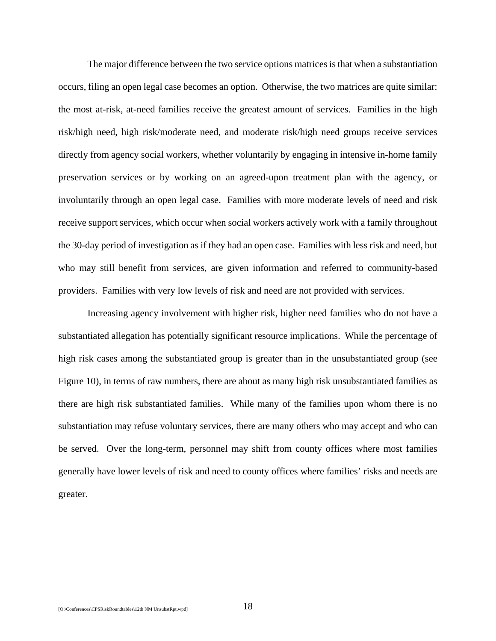The major difference between the two service options matrices is that when a substantiation occurs, filing an open legal case becomes an option. Otherwise, the two matrices are quite similar: the most at-risk, at-need families receive the greatest amount of services. Families in the high risk/high need, high risk/moderate need, and moderate risk/high need groups receive services directly from agency social workers, whether voluntarily by engaging in intensive in-home family preservation services or by working on an agreed-upon treatment plan with the agency, or involuntarily through an open legal case. Families with more moderate levels of need and risk receive support services, which occur when social workers actively work with a family throughout the 30-day period of investigation as if they had an open case. Families with less risk and need, but who may still benefit from services, are given information and referred to community-based providers. Families with very low levels of risk and need are not provided with services.

Increasing agency involvement with higher risk, higher need families who do not have a substantiated allegation has potentially significant resource implications. While the percentage of high risk cases among the substantiated group is greater than in the unsubstantiated group (see Figure 10), in terms of raw numbers, there are about as many high risk unsubstantiated families as there are high risk substantiated families. While many of the families upon whom there is no substantiation may refuse voluntary services, there are many others who may accept and who can be served. Over the long-term, personnel may shift from county offices where most families generally have lower levels of risk and need to county offices where families' risks and needs are greater.